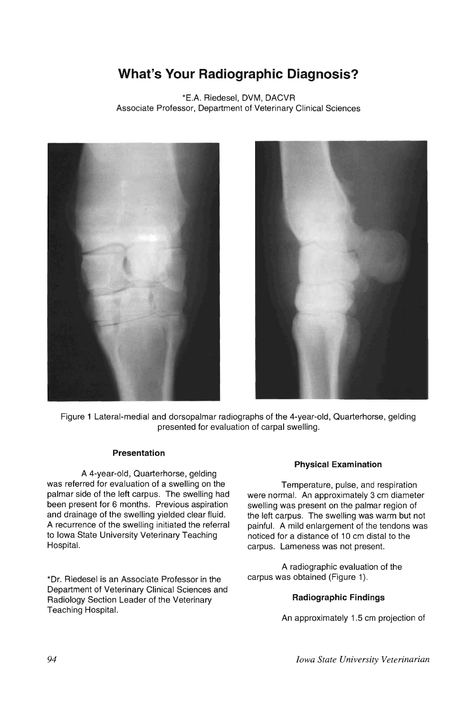# **What's Your Radiographic Diagnosis?**

\*E.A. Riedesel, DVM, DACVR Associate Professor, Department of Veterinary Clinical Sciences





Figure 1 Lateral-medial and dorsopalmar radiographs of the 4-year-old, Quarterhorse, gelding presented for evaluation of carpal swelling.

# **Presentation**

A 4-year-old, Quarterhorse, gelding was referred for evaluation of a swelling on the palmar side of the left carpus. The swelling had been present for 6 months. Previous aspiration and drainage of the swelling yielded clear fluid. A recurrence of the swelling initiated the referral to Iowa State University Veterinary Teaching Hospital.

\*Dr. Riedesel is an Associate Professor in the Department of Veterinary Clinical Sciences and Radiology Section Leader of the Veterinary Teaching Hospital.

#### **Physical Examination**

Temperature, pulse, and respiration were normal. An approximately 3 cm diameter swelling was present on the palmar region of the left carpus. The swelling was warm but not painful. A mild enlargement of the tendons was noticed for a distance of 10 cm distal to the carpus. Lameness was not present.

A radiographic evaluation of the carpus was obtained (Figure 1).

# **Radiographic Findings**

An approximately 1.5 cm projection of